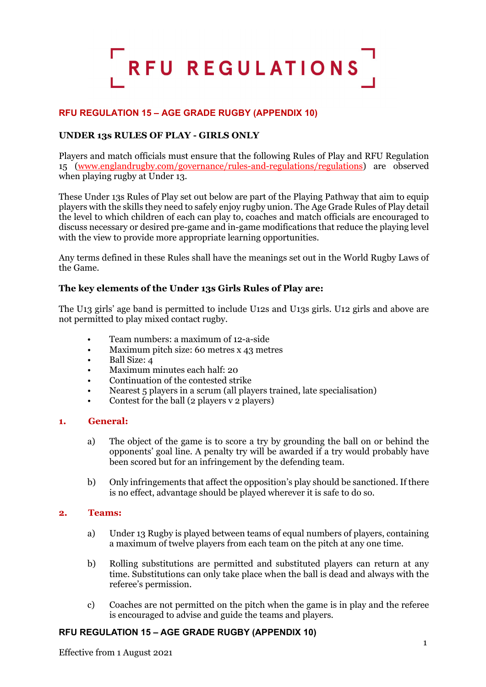

# **RFU REGULATION 15 – AGE GRADE RUGBY (APPENDIX 10)**

# **UNDER 13s RULES OF PLAY - GIRLS ONLY**

Players and match officials must ensure that the following Rules of Play and RFU Regulation 15 [\(www.englandrugby.com/governance/rules-and-regulations/regulations\)](http://www.englandrugby.com/governance/rules-and-regulations/regulations) are observed when playing rugby at Under 13.

These Under 13s Rules of Play set out below are part of the Playing Pathway that aim to equip players with the skills they need to safely enjoy rugby union. The Age Grade Rules of Play detail the level to which children of each can play to, coaches and match officials are encouraged to discuss necessary or desired pre-game and in-game modifications that reduce the playing level with the view to provide more appropriate learning opportunities.

Any terms defined in these Rules shall have the meanings set out in the World Rugby Laws of the Game.

#### **The key elements of the Under 13s Girls Rules of Play are:**

The U13 girls' age band is permitted to include U12s and U13s girls. U12 girls and above are not permitted to play mixed contact rugby.

- Team numbers: a maximum of 12-a-side
- Maximum pitch size: 60 metres x 43 metres
- Ball Size: 4
- Maximum minutes each half: 20
- Continuation of the contested strike
- Nearest 5 players in a scrum (all players trained, late specialisation)
- Contest for the ball (2 players v 2 players)

#### **1. General:**

- a) The object of the game is to score a try by grounding the ball on or behind the opponents' goal line. A penalty try will be awarded if a try would probably have been scored but for an infringement by the defending team.
- b) Only infringements that affect the opposition's play should be sanctioned. If there is no effect, advantage should be played wherever it is safe to do so.

#### **2. Teams:**

- a) Under 13 Rugby is played between teams of equal numbers of players, containing a maximum of twelve players from each team on the pitch at any one time.
- b) Rolling substitutions are permitted and substituted players can return at any time. Substitutions can only take place when the ball is dead and always with the referee's permission.
- c) Coaches are not permitted on the pitch when the game is in play and the referee is encouraged to advise and guide the teams and players.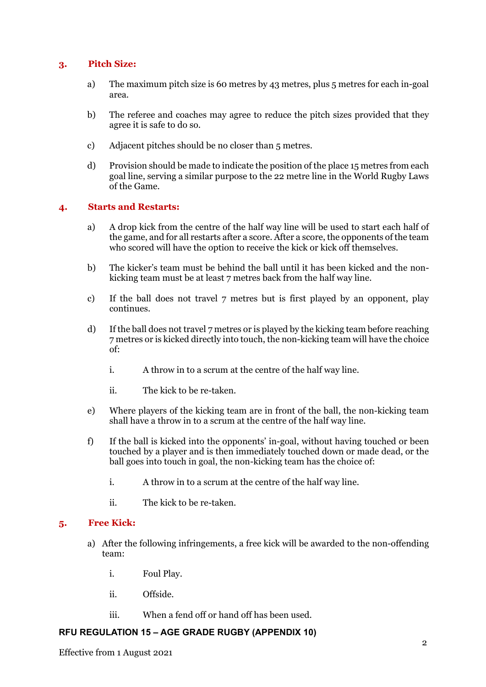# **3. Pitch Size:**

- a) The maximum pitch size is 60 metres by 43 metres, plus 5 metres for each in-goal area.
- b) The referee and coaches may agree to reduce the pitch sizes provided that they agree it is safe to do so.
- c) Adjacent pitches should be no closer than 5 metres.
- d) Provision should be made to indicate the position of the place 15 metres from each goal line, serving a similar purpose to the 22 metre line in the World Rugby Laws of the Game.

## **4. Starts and Restarts:**

- a) A drop kick from the centre of the half way line will be used to start each half of the game, and for all restarts after a score. After a score, the opponents of the team who scored will have the option to receive the kick or kick off themselves.
- b) The kicker's team must be behind the ball until it has been kicked and the nonkicking team must be at least 7 metres back from the half way line.
- c) If the ball does not travel 7 metres but is first played by an opponent, play continues.
- d) If the ball does not travel 7 metres or is played by the kicking team before reaching 7 metres or is kicked directly into touch, the non-kicking team will have the choice of:
	- i. A throw in to a scrum at the centre of the half way line.
	- ii. The kick to be re-taken.
- e) Where players of the kicking team are in front of the ball, the non-kicking team shall have a throw in to a scrum at the centre of the half way line.
- f) If the ball is kicked into the opponents' in-goal, without having touched or been touched by a player and is then immediately touched down or made dead, or the ball goes into touch in goal, the non-kicking team has the choice of:
	- i. A throw in to a scrum at the centre of the half way line.
	- ii. The kick to be re-taken.

## **5. Free Kick:**

- a) After the following infringements, a free kick will be awarded to the non-offending team:
	- i. Foul Play.
	- ii. Offside.
	- iii. When a fend off or hand off has been used.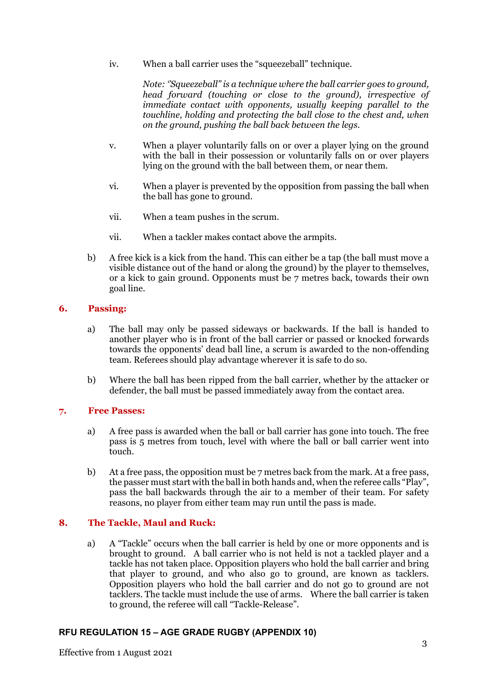iv. When a ball carrier uses the "squeezeball" technique.

*Note: ''Squeezeball" is a technique where the ball carrier goes to ground, head forward (touching or close to the ground), irrespective of immediate contact with opponents, usually keeping parallel to the touchline, holding and protecting the ball close to the chest and, when on the ground, pushing the ball back between the legs.*

- v. When a player voluntarily falls on or over a player lying on the ground with the ball in their possession or voluntarily falls on or over players lying on the ground with the ball between them, or near them.
- vi. When a player is prevented by the opposition from passing the ball when the ball has gone to ground.
- vii. When a team pushes in the scrum.
- vii. When a tackler makes contact above the armpits.
- b) A free kick is a kick from the hand. This can either be a tap (the ball must move a visible distance out of the hand or along the ground) by the player to themselves, or a kick to gain ground. Opponents must be 7 metres back, towards their own goal line.

#### **6. Passing:**

- a) The ball may only be passed sideways or backwards. If the ball is handed to another player who is in front of the ball carrier or passed or knocked forwards towards the opponents' dead ball line, a scrum is awarded to the non-offending team. Referees should play advantage wherever it is safe to do so.
- b) Where the ball has been ripped from the ball carrier, whether by the attacker or defender, the ball must be passed immediately away from the contact area.

#### **7. Free Passes:**

- a) A free pass is awarded when the ball or ball carrier has gone into touch. The free pass is 5 metres from touch, level with where the ball or ball carrier went into touch.
- b) At a free pass, the opposition must be 7 metres back from the mark. At a free pass, the passer must start with the ball in both hands and, when the referee calls "Play", pass the ball backwards through the air to a member of their team. For safety reasons, no player from either team may run until the pass is made.

#### **8. The Tackle, Maul and Ruck:**

a) A "Tackle" occurs when the ball carrier is held by one or more opponents and is brought to ground. A ball carrier who is not held is not a tackled player and a tackle has not taken place. Opposition players who hold the ball carrier and bring that player to ground, and who also go to ground, are known as tacklers. Opposition players who hold the ball carrier and do not go to ground are not tacklers. The tackle must include the use of arms. Where the ball carrier is taken to ground, the referee will call "Tackle-Release".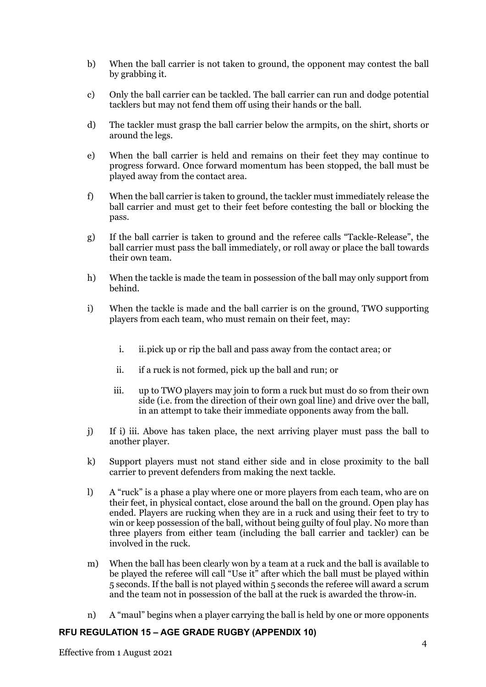- b) When the ball carrier is not taken to ground, the opponent may contest the ball by grabbing it.
- c) Only the ball carrier can be tackled. The ball carrier can run and dodge potential tacklers but may not fend them off using their hands or the ball.
- d) The tackler must grasp the ball carrier below the armpits, on the shirt, shorts or around the legs.
- e) When the ball carrier is held and remains on their feet they may continue to progress forward. Once forward momentum has been stopped, the ball must be played away from the contact area.
- f) When the ball carrier is taken to ground, the tackler must immediately release the ball carrier and must get to their feet before contesting the ball or blocking the pass.
- g) If the ball carrier is taken to ground and the referee calls "Tackle-Release", the ball carrier must pass the ball immediately, or roll away or place the ball towards their own team.
- h) When the tackle is made the team in possession of the ball may only support from behind.
- i) When the tackle is made and the ball carrier is on the ground, TWO supporting players from each team, who must remain on their feet, may:
	- i. ii.pick up or rip the ball and pass away from the contact area; or
	- ii. if a ruck is not formed, pick up the ball and run; or
	- iii. up to TWO players may join to form a ruck but must do so from their own side (i.e. from the direction of their own goal line) and drive over the ball, in an attempt to take their immediate opponents away from the ball.
- j) If i) iii. Above has taken place, the next arriving player must pass the ball to another player.
- k) Support players must not stand either side and in close proximity to the ball carrier to prevent defenders from making the next tackle.
- l) A "ruck" is a phase a play where one or more players from each team, who are on their feet, in physical contact, close around the ball on the ground. Open play has ended. Players are rucking when they are in a ruck and using their feet to try to win or keep possession of the ball, without being guilty of foul play. No more than three players from either team (including the ball carrier and tackler) can be involved in the ruck.
- m) When the ball has been clearly won by a team at a ruck and the ball is available to be played the referee will call "Use it" after which the ball must be played within 5 seconds. If the ball is not played within 5 seconds the referee will award a scrum and the team not in possession of the ball at the ruck is awarded the throw-in.
- n) A "maul" begins when a player carrying the ball is held by one or more opponents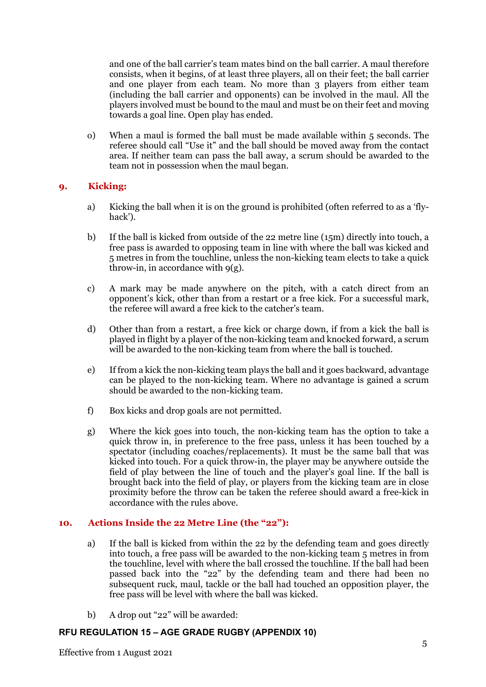and one of the ball carrier's team mates bind on the ball carrier. A maul therefore consists, when it begins, of at least three players, all on their feet; the ball carrier and one player from each team. No more than 3 players from either team (including the ball carrier and opponents) can be involved in the maul. All the players involved must be bound to the maul and must be on their feet and moving towards a goal line. Open play has ended.

o) When a maul is formed the ball must be made available within 5 seconds. The referee should call "Use it" and the ball should be moved away from the contact area. If neither team can pass the ball away, a scrum should be awarded to the team not in possession when the maul began.

## **9. Kicking:**

- a) Kicking the ball when it is on the ground is prohibited (often referred to as a 'flyhack').
- b) If the ball is kicked from outside of the 22 metre line (15m) directly into touch, a free pass is awarded to opposing team in line with where the ball was kicked and 5 metres in from the touchline, unless the non-kicking team elects to take a quick throw-in, in accordance with  $q(g)$ .
- c) A mark may be made anywhere on the pitch, with a catch direct from an opponent's kick, other than from a restart or a free kick. For a successful mark, the referee will award a free kick to the catcher's team.
- d) Other than from a restart, a free kick or charge down, if from a kick the ball is played in flight by a player of the non-kicking team and knocked forward, a scrum will be awarded to the non-kicking team from where the ball is touched.
- e) If from a kick the non-kicking team plays the ball and it goes backward, advantage can be played to the non-kicking team. Where no advantage is gained a scrum should be awarded to the non-kicking team.
- f) Box kicks and drop goals are not permitted.
- g) Where the kick goes into touch, the non-kicking team has the option to take a quick throw in, in preference to the free pass, unless it has been touched by a spectator (including coaches/replacements). It must be the same ball that was kicked into touch. For a quick throw-in, the player may be anywhere outside the field of play between the line of touch and the player's goal line. If the ball is brought back into the field of play, or players from the kicking team are in close proximity before the throw can be taken the referee should award a free-kick in accordance with the rules above.

## **10. Actions Inside the 22 Metre Line (the "22"):**

- a) If the ball is kicked from within the 22 by the defending team and goes directly into touch, a free pass will be awarded to the non-kicking team 5 metres in from the touchline, level with where the ball crossed the touchline. If the ball had been passed back into the "22" by the defending team and there had been no subsequent ruck, maul, tackle or the ball had touched an opposition player, the free pass will be level with where the ball was kicked.
- b) A drop out "22" will be awarded: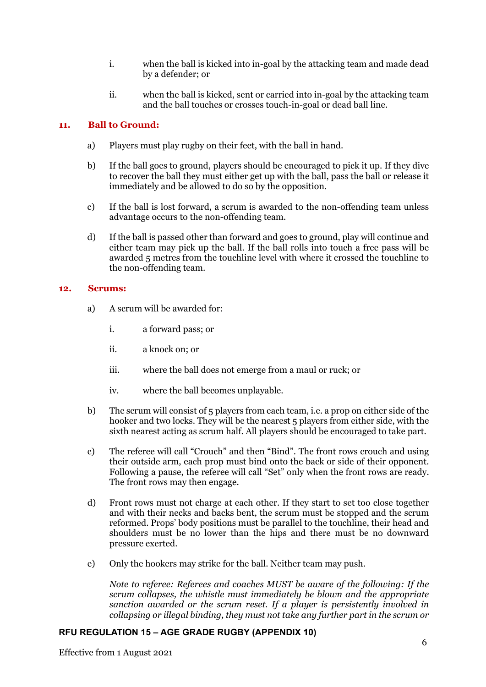- i. when the ball is kicked into in-goal by the attacking team and made dead by a defender; or
- ii. when the ball is kicked, sent or carried into in-goal by the attacking team and the ball touches or crosses touch-in-goal or dead ball line.

## **11. Ball to Ground:**

- a) Players must play rugby on their feet, with the ball in hand.
- b) If the ball goes to ground, players should be encouraged to pick it up. If they dive to recover the ball they must either get up with the ball, pass the ball or release it immediately and be allowed to do so by the opposition.
- c) If the ball is lost forward, a scrum is awarded to the non-offending team unless advantage occurs to the non-offending team.
- d) If the ball is passed other than forward and goes to ground, play will continue and either team may pick up the ball. If the ball rolls into touch a free pass will be awarded 5 metres from the touchline level with where it crossed the touchline to the non-offending team.

#### **12. Scrums:**

- a) A scrum will be awarded for:
	- i. a forward pass; or
	- ii. a knock on; or
	- iii. where the ball does not emerge from a maul or ruck; or
	- iv. where the ball becomes unplayable.
- b) The scrum will consist of 5 players from each team, i.e. a prop on either side of the hooker and two locks. They will be the nearest 5 players from either side, with the sixth nearest acting as scrum half. All players should be encouraged to take part.
- c) The referee will call "Crouch" and then "Bind". The front rows crouch and using their outside arm, each prop must bind onto the back or side of their opponent. Following a pause, the referee will call "Set" only when the front rows are ready. The front rows may then engage.
- d) Front rows must not charge at each other. If they start to set too close together and with their necks and backs bent, the scrum must be stopped and the scrum reformed. Props' body positions must be parallel to the touchline, their head and shoulders must be no lower than the hips and there must be no downward pressure exerted.
- e) Only the hookers may strike for the ball. Neither team may push.

*Note to referee: Referees and coaches MUST be aware of the following: If the scrum collapses, the whistle must immediately be blown and the appropriate sanction awarded or the scrum reset. If a player is persistently involved in collapsing or illegal binding, they must not take any further part in the scrum or*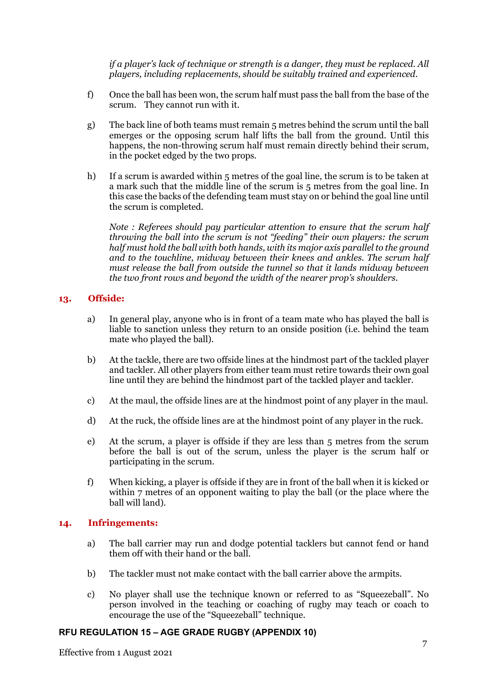*if a player's lack of technique or strength is a danger, they must be replaced. All players, including replacements, should be suitably trained and experienced.*

- f) Once the ball has been won, the scrum half must pass the ball from the base of the scrum. They cannot run with it.
- g) The back line of both teams must remain 5 metres behind the scrum until the ball emerges or the opposing scrum half lifts the ball from the ground. Until this happens, the non-throwing scrum half must remain directly behind their scrum, in the pocket edged by the two props.
- h) If a scrum is awarded within 5 metres of the goal line, the scrum is to be taken at a mark such that the middle line of the scrum is 5 metres from the goal line. In this case the backs of the defending team must stay on or behind the goal line until the scrum is completed.

*Note : Referees should pay particular attention to ensure that the scrum half throwing the ball into the scrum is not "feeding" their own players: the scrum half must hold the ball with both hands, with its major axis parallel to the ground and to the touchline, midway between their knees and ankles. The scrum half must release the ball from outside the tunnel so that it lands midway between the two front rows and beyond the width of the nearer prop's shoulders.*

#### **13. Offside:**

- a) In general play, anyone who is in front of a team mate who has played the ball is liable to sanction unless they return to an onside position (i.e. behind the team mate who played the ball).
- b) At the tackle, there are two offside lines at the hindmost part of the tackled player and tackler. All other players from either team must retire towards their own goal line until they are behind the hindmost part of the tackled player and tackler.
- c) At the maul, the offside lines are at the hindmost point of any player in the maul.
- d) At the ruck, the offside lines are at the hindmost point of any player in the ruck.
- e) At the scrum, a player is offside if they are less than 5 metres from the scrum before the ball is out of the scrum, unless the player is the scrum half or participating in the scrum.
- f) When kicking, a player is offside if they are in front of the ball when it is kicked or within 7 metres of an opponent waiting to play the ball (or the place where the ball will land).

## **14. Infringements:**

- a) The ball carrier may run and dodge potential tacklers but cannot fend or hand them off with their hand or the ball.
- b) The tackler must not make contact with the ball carrier above the armpits.
- c) No player shall use the technique known or referred to as "Squeezeball". No person involved in the teaching or coaching of rugby may teach or coach to encourage the use of the "Squeezeball" technique.